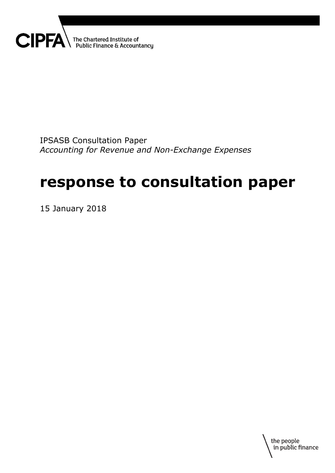

IPSASB Consultation Paper *Accounting for Revenue and Non-Exchange Expenses*

# **response to consultation paper**

15 January 2018

the people in public finance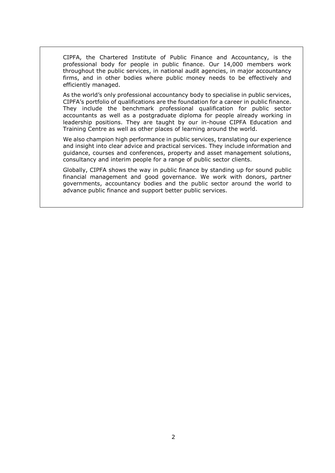CIPFA, the Chartered Institute of Public Finance and Accountancy, is the professional body for people in public finance. Our 14,000 members work throughout the public services, in national audit agencies, in major accountancy firms, and in other bodies where public money needs to be effectively and efficiently managed.

As the world's only professional accountancy body to specialise in public services, CIPFA's portfolio of qualifications are the foundation for a career in public finance. They include the benchmark professional qualification for public sector accountants as well as a postgraduate diploma for people already working in leadership positions. They are taught by our in-house CIPFA Education and Training Centre as well as other places of learning around the world.

We also champion high performance in public services, translating our experience and insight into clear advice and practical services. They include information and guidance, courses and conferences, property and asset management solutions, consultancy and interim people for a range of public sector clients.

Globally, CIPFA shows the way in public finance by standing up for sound public financial management and good governance. We work with donors, partner governments, accountancy bodies and the public sector around the world to advance public finance and support better public services.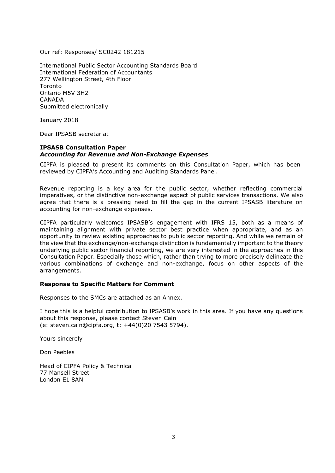Our ref: Responses/ SC0242 181215

International Public Sector Accounting Standards Board International Federation of Accountants 277 Wellington Street, 4th Floor Toronto Ontario M5V 3H2 CANADA Submitted electronically

January 2018

Dear IPSASB secretariat

#### **IPSASB Consultation Paper**  *Accounting for Revenue and Non-Exchange Expenses*

CIPFA is pleased to present its comments on this Consultation Paper, which has been reviewed by CIPFA's Accounting and Auditing Standards Panel.

Revenue reporting is a key area for the public sector, whether reflecting commercial imperatives, or the distinctive non-exchange aspect of public services transactions. We also agree that there is a pressing need to fill the gap in the current IPSASB literature on accounting for non-exchange expenses.

CIPFA particularly welcomes IPSASB's engagement with IFRS 15, both as a means of maintaining alignment with private sector best practice when appropriate, and as an opportunity to review existing approaches to public sector reporting. And while we remain of the view that the exchange/non-exchange distinction is fundamentally important to the theory underlying public sector financial reporting, we are very interested in the approaches in this Consultation Paper. Especially those which, rather than trying to more precisely delineate the various combinations of exchange and non-exchange, focus on other aspects of the arrangements.

### **Response to Specific Matters for Comment**

Responses to the SMCs are attached as an Annex.

I hope this is a helpful contribution to IPSASB's work in this area. If you have any questions about this response, please contact Steven Cain (e: steven.cain@cipfa.org, t: +44(0)20 7543 5794).

Yours sincerely

Don Peebles

Head of CIPFA Policy & Technical 77 Mansell Street London E1 8AN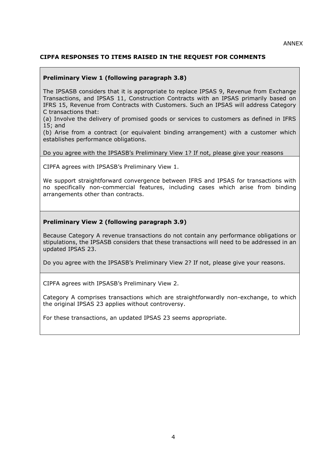# **CIPFA RESPONSES TO ITEMS RAISED IN THE REQUEST FOR COMMENTS**

## **Preliminary View 1 (following paragraph 3.8)**

The IPSASB considers that it is appropriate to replace IPSAS 9, Revenue from Exchange Transactions, and IPSAS 11, Construction Contracts with an IPSAS primarily based on IFRS 15, Revenue from Contracts with Customers. Such an IPSAS will address Category C transactions that:

(a) Involve the delivery of promised goods or services to customers as defined in IFRS 15; and

(b) Arise from a contract (or equivalent binding arrangement) with a customer which establishes performance obligations.

Do you agree with the IPSASB's Preliminary View 1? If not, please give your reasons

CIPFA agrees with IPSASB's Preliminary View 1.

We support straightforward convergence between IFRS and IPSAS for transactions with no specifically non-commercial features, including cases which arise from binding arrangements other than contracts.

### **Preliminary View 2 (following paragraph 3.9)**

Because Category A revenue transactions do not contain any performance obligations or stipulations, the IPSASB considers that these transactions will need to be addressed in an updated IPSAS 23.

Do you agree with the IPSASB's Preliminary View 2? If not, please give your reasons.

CIPFA agrees with IPSASB's Preliminary View 2.

Category A comprises transactions which are straightforwardly non-exchange, to which the original IPSAS 23 applies without controversy.

For these transactions, an updated IPSAS 23 seems appropriate.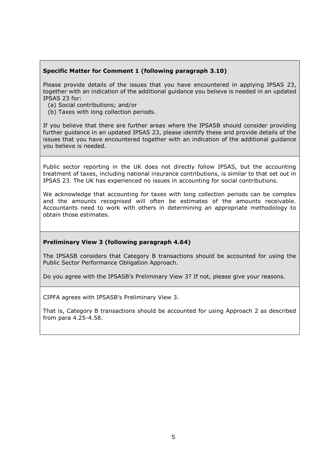## **Specific Matter for Comment 1 (following paragraph 3.10)**

Please provide details of the issues that you have encountered in applying IPSAS 23, together with an indication of the additional guidance you believe is needed in an updated IPSAS 23 for:

- (a) Social contributions; and/or
- (b) Taxes with long collection periods.

If you believe that there are further areas where the IPSASB should consider providing further guidance in an updated IPSAS 23, please identify these and provide details of the issues that you have encountered together with an indication of the additional guidance you believe is needed.

Public sector reporting in the UK does not directly follow IPSAS, but the accounting treatment of taxes, including national insurance contributions, is similar to that set out in IPSAS 23. The UK has experienced no issues in accounting for social contributions.

We acknowledge that accounting for taxes with long collection periods can be complex and the amounts recognised will often be estimates of the amounts receivable. Accountants need to work with others in determining an appropriate methodology to obtain those estimates.

### **Preliminary View 3 (following paragraph 4.64)**

The IPSASB considers that Category B transactions should be accounted for using the Public Sector Performance Obligation Approach.

Do you agree with the IPSASB's Preliminary View 3? If not, please give your reasons.

CIPFA agrees with IPSASB's Preliminary View 3.

That is, Category B transactions should be accounted for using Approach 2 as described from para 4.25-4.58.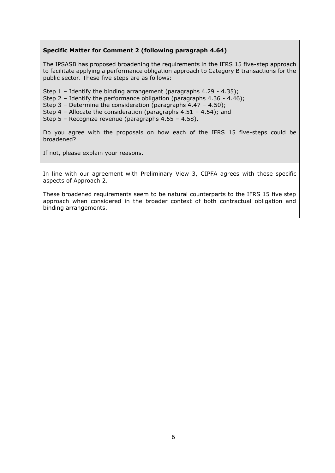## **Specific Matter for Comment 2 (following paragraph 4.64)**

The IPSASB has proposed broadening the requirements in the IFRS 15 five-step approach to facilitate applying a performance obligation approach to Category B transactions for the public sector. These five steps are as follows:

- Step 1 Identify the binding arrangement (paragraphs 4.29 4.35);
- Step 2 Identify the performance obligation (paragraphs 4.36 4.46);

Step 3 – Determine the consideration (paragraphs 4.47 – 4.50);

Step 4 – Allocate the consideration (paragraphs 4.51 – 4.54); and

Step 5 – Recognize revenue (paragraphs 4.55 – 4.58).

Do you agree with the proposals on how each of the IFRS 15 five-steps could be broadened?

If not, please explain your reasons.

In line with our agreement with Preliminary View 3, CIPFA agrees with these specific aspects of Approach 2.

These broadened requirements seem to be natural counterparts to the IFRS 15 five step approach when considered in the broader context of both contractual obligation and binding arrangements.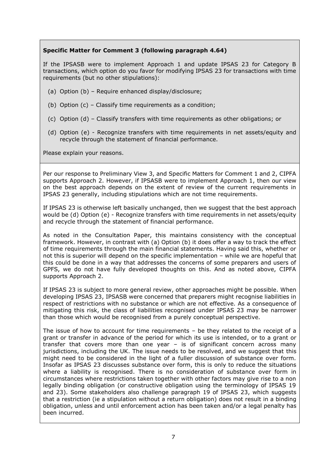# **Specific Matter for Comment 3 (following paragraph 4.64)**

If the IPSASB were to implement Approach 1 and update IPSAS 23 for Category B transactions, which option do you favor for modifying IPSAS 23 for transactions with time requirements (but no other stipulations):

- (a) Option (b) Require enhanced display/disclosure;
- (b) Option (c) Classify time requirements as a condition;
- (c) Option (d) Classify transfers with time requirements as other obligations; or
- (d) Option (e) Recognize transfers with time requirements in net assets/equity and recycle through the statement of financial performance.

Please explain your reasons.

Per our response to Preliminary View 3, and Specific Matters for Comment 1 and 2, CIPFA supports Approach 2. However, if IPSASB were to implement Approach 1, then our view on the best approach depends on the extent of review of the current requirements in IPSAS 23 generally, including stipulations which are not time requirements.

If IPSAS 23 is otherwise left basically unchanged, then we suggest that the best approach would be (d) Option (e) - Recognize transfers with time requirements in net assets/equity and recycle through the statement of financial performance.

As noted in the Consultation Paper, this maintains consistency with the conceptual framework. However, in contrast with (a) Option (b) it does offer a way to track the effect of time requirements through the main financial statements. Having said this, whether or not this is superior will depend on the specific implementation – while we are hopeful that this could be done in a way that addresses the concerns of some preparers and users of GPFS, we do not have fully developed thoughts on this. And as noted above, CIPFA supports Approach 2.

If IPSAS 23 is subject to more general review, other approaches might be possible. When developing IPSAS 23, IPSASB were concerned that preparers might recognise liabilities in respect of restrictions with no substance or which are not effective. As a consequence of mitigating this risk, the class of liabilities recognised under IPSAS 23 may be narrower than those which would be recognised from a purely conceptual perspective.

The issue of how to account for time requirements – be they related to the receipt of a grant or transfer in advance of the period for which its use is intended, or to a grant or transfer that covers more than one year – is of significant concern across many jurisdictions, including the UK. The issue needs to be resolved, and we suggest that this might need to be considered in the light of a fuller discussion of substance over form. Insofar as IPSAS 23 discusses substance over form, this is only to reduce the situations where a liability is recognised. There is no consideration of substance over form in circumstances where restrictions taken together with other factors may give rise to a non legally binding obligation (or constructive obligation using the terminology of IPSAS 19 and 23). Some stakeholders also challenge paragraph 19 of IPSAS 23, which suggests that a restriction (ie a stipulation without a return obligation) does not result in a binding obligation, unless and until enforcement action has been taken and/or a legal penalty has been incurred.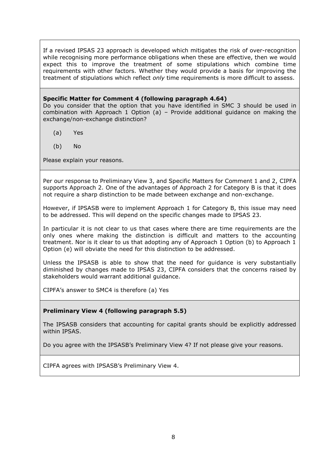If a revised IPSAS 23 approach is developed which mitigates the risk of over-recognition while recognising more performance obligations when these are effective, then we would expect this to improve the treatment of some stipulations which combine time requirements with other factors. Whether they would provide a basis for improving the treatment of stipulations which reflect *only* time requirements is more difficult to assess.

#### **Specific Matter for Comment 4 (following paragraph 4.64)**

Do you consider that the option that you have identified in SMC 3 should be used in combination with Approach 1 Option (a) – Provide additional guidance on making the exchange/non-exchange distinction?

- (a) Yes
- (b) No

Please explain your reasons.

Per our response to Preliminary View 3, and Specific Matters for Comment 1 and 2, CIPFA supports Approach 2. One of the advantages of Approach 2 for Category B is that it does not require a sharp distinction to be made between exchange and non-exchange.

However, if IPSASB were to implement Approach 1 for Category B, this issue may need to be addressed. This will depend on the specific changes made to IPSAS 23.

In particular it is not clear to us that cases where there are time requirements are the only ones where making the distinction is difficult and matters to the accounting treatment. Nor is it clear to us that adopting any of Approach 1 Option (b) to Approach 1 Option (e) will obviate the need for this distinction to be addressed.

Unless the IPSASB is able to show that the need for guidance is very substantially diminished by changes made to IPSAS 23, CIPFA considers that the concerns raised by stakeholders would warrant additional guidance.

CIPFA's answer to SMC4 is therefore (a) Yes

### **Preliminary View 4 (following paragraph 5.5)**

The IPSASB considers that accounting for capital grants should be explicitly addressed within IPSAS.

Do you agree with the IPSASB's Preliminary View 4? If not please give your reasons.

CIPFA agrees with IPSASB's Preliminary View 4.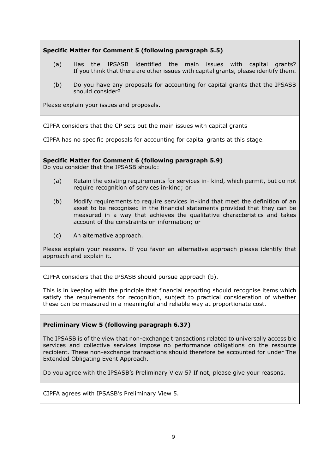# **Specific Matter for Comment 5 (following paragraph 5.5)**

- (a) Has the IPSASB identified the main issues with capital grants? If you think that there are other issues with capital grants, please identify them.
- (b) Do you have any proposals for accounting for capital grants that the IPSASB should consider?

Please explain your issues and proposals.

CIPFA considers that the CP sets out the main issues with capital grants

CIPFA has no specific proposals for accounting for capital grants at this stage.

**Specific Matter for Comment 6 (following paragraph 5.9)**

Do you consider that the IPSASB should:

- (a) Retain the existing requirements for services in- kind, which permit, but do not require recognition of services in-kind; or
- (b) Modify requirements to require services in-kind that meet the definition of an asset to be recognised in the financial statements provided that they can be measured in a way that achieves the qualitative characteristics and takes account of the constraints on information; or
- (c) An alternative approach.

Please explain your reasons. If you favor an alternative approach please identify that approach and explain it.

CIPFA considers that the IPSASB should pursue approach (b).

This is in keeping with the principle that financial reporting should recognise items which satisfy the requirements for recognition, subject to practical consideration of whether these can be measured in a meaningful and reliable way at proportionate cost.

# **Preliminary View 5 (following paragraph 6.37)**

The IPSASB is of the view that non-exchange transactions related to universally accessible services and collective services impose no performance obligations on the resource recipient. These non-exchange transactions should therefore be accounted for under The Extended Obligating Event Approach.

Do you agree with the IPSASB's Preliminary View 5? If not, please give your reasons.

CIPFA agrees with IPSASB's Preliminary View 5.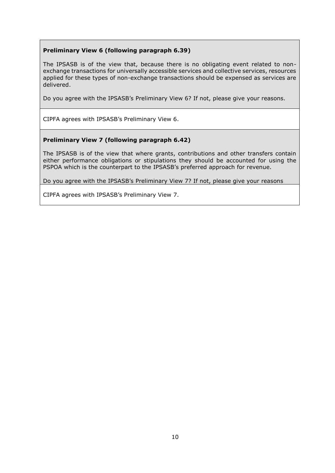## **Preliminary View 6 (following paragraph 6.39)**

The IPSASB is of the view that, because there is no obligating event related to nonexchange transactions for universally accessible services and collective services, resources applied for these types of non-exchange transactions should be expensed as services are delivered.

Do you agree with the IPSASB's Preliminary View 6? If not, please give your reasons.

CIPFA agrees with IPSASB's Preliminary View 6.

## **Preliminary View 7 (following paragraph 6.42)**

The IPSASB is of the view that where grants, contributions and other transfers contain either performance obligations or stipulations they should be accounted for using the PSPOA which is the counterpart to the IPSASB's preferred approach for revenue.

Do you agree with the IPSASB's Preliminary View 7? If not, please give your reasons

CIPFA agrees with IPSASB's Preliminary View 7.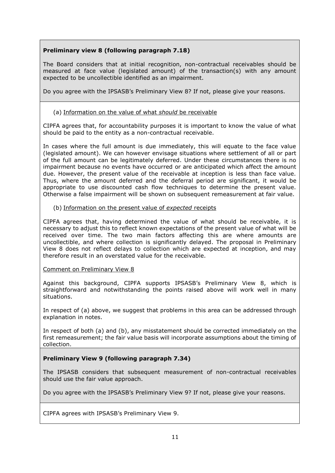# **Preliminary view 8 (following paragraph 7.18)**

The Board considers that at initial recognition, non-contractual receivables should be measured at face value (legislated amount) of the transaction(s) with any amount expected to be uncollectible identified as an impairment.

Do you agree with the IPSASB's Preliminary View 8? If not, please give your reasons.

# (a) Information on the value of what *should* be receivable

CIPFA agrees that, for accountability purposes it is important to know the value of what should be paid to the entity as a non-contractual receivable.

In cases where the full amount is due immediately, this will equate to the face value (legislated amount). We can however envisage situations where settlement of all or part of the full amount can be legitimately deferred. Under these circumstances there is no impairment because no events have occurred or are anticipated which affect the amount due. However, the present value of the receivable at inception is less than face value. Thus, where the amount deferred and the deferral period are significant, it would be appropriate to use discounted cash flow techniques to determine the present value. Otherwise a false impairment will be shown on subsequent remeasurement at fair value.

# (b) Information on the present value of *expected* receipts

CIPFA agrees that, having determined the value of what should be receivable, it is necessary to adjust this to reflect known expectations of the present value of what will be received over time. The two main factors affecting this are where amounts are uncollectible, and where collection is significantly delayed. The proposal in Preliminary View 8 does not reflect delays to collection which are expected at inception, and may therefore result in an overstated value for the receivable.

# Comment on Preliminary View 8

Against this background, CIPFA supports IPSASB's Preliminary View 8, which is straightforward and notwithstanding the points raised above will work well in many situations.

In respect of (a) above, we suggest that problems in this area can be addressed through explanation in notes.

In respect of both (a) and (b), any misstatement should be corrected immediately on the first remeasurement; the fair value basis will incorporate assumptions about the timing of collection.

# **Preliminary View 9 (following paragraph 7.34)**

The IPSASB considers that subsequent measurement of non-contractual receivables should use the fair value approach.

Do you agree with the IPSASB's Preliminary View 9? If not, please give your reasons.

CIPFA agrees with IPSASB's Preliminary View 9.